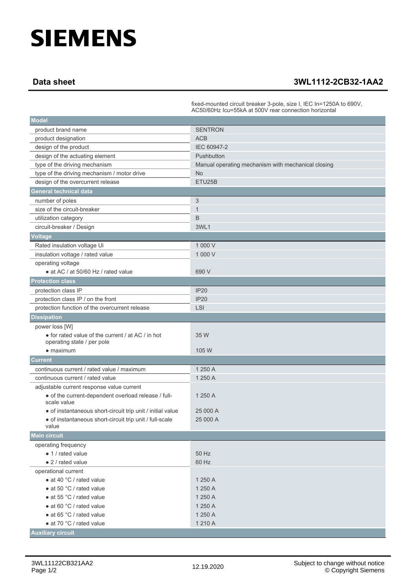## **SIEMENS**

## **Data sheet 3WL1112-2CB32-1AA2**

|                                                                                 | fixed-mounted circuit breaker 3-pole, size I, IEC In=1250A to 690V,<br>AC50/60Hz Icu=55kA at 500V rear connection horizontal |
|---------------------------------------------------------------------------------|------------------------------------------------------------------------------------------------------------------------------|
| <b>Model</b>                                                                    |                                                                                                                              |
| product brand name                                                              | <b>SENTRON</b>                                                                                                               |
| product designation                                                             | <b>ACB</b>                                                                                                                   |
| design of the product                                                           | IEC 60947-2                                                                                                                  |
| design of the actuating element                                                 | Pushbutton                                                                                                                   |
| type of the driving mechanism                                                   | Manual operating mechanism with mechanical closing                                                                           |
| type of the driving mechanism / motor drive                                     | <b>No</b>                                                                                                                    |
| design of the overcurrent release                                               | ETU25B                                                                                                                       |
| <b>General technical data</b>                                                   |                                                                                                                              |
| number of poles                                                                 | 3                                                                                                                            |
| size of the circuit-breaker                                                     | $\mathbf{1}$                                                                                                                 |
| utilization category                                                            | B                                                                                                                            |
| circuit-breaker / Design                                                        | 3WL1                                                                                                                         |
| <b>Voltage</b>                                                                  |                                                                                                                              |
| Rated insulation voltage Ui                                                     | 1 000 V                                                                                                                      |
| insulation voltage / rated value                                                | 1 000 V                                                                                                                      |
| operating voltage                                                               |                                                                                                                              |
| • at AC / at 50/60 Hz / rated value                                             | 690 V                                                                                                                        |
| <b>Protection class</b>                                                         |                                                                                                                              |
| protection class IP                                                             | <b>IP20</b>                                                                                                                  |
| protection class IP / on the front                                              | <b>IP20</b>                                                                                                                  |
| protection function of the overcurrent release                                  | <b>LSI</b>                                                                                                                   |
| <b>Dissipation</b>                                                              |                                                                                                                              |
| power loss [W]                                                                  |                                                                                                                              |
| • for rated value of the current / at AC / in hot<br>operating state / per pole | 35 W                                                                                                                         |
| $\bullet$ maximum                                                               | 105 W                                                                                                                        |
| <b>Current</b>                                                                  |                                                                                                                              |
| continuous current / rated value / maximum                                      | 1 250 A                                                                                                                      |
| continuous current / rated value                                                | 1 250 A                                                                                                                      |
| adjustable current response value current                                       |                                                                                                                              |
| • of the current-dependent overload release / full-<br>scale value              | 1 250 A                                                                                                                      |
| • of instantaneous short-circuit trip unit / initial value                      | 25 000 A                                                                                                                     |
| • of instantaneous short-circuit trip unit / full-scale<br>value                | 25 000 A                                                                                                                     |
| <b>Main circuit</b>                                                             |                                                                                                                              |
| operating frequency                                                             |                                                                                                                              |
| • 1 / rated value                                                               | 50 Hz                                                                                                                        |
| • 2 / rated value                                                               | 60 Hz                                                                                                                        |
| operational current                                                             |                                                                                                                              |
| • at 40 °C / rated value                                                        | 1 250 A                                                                                                                      |
| • at 50 °C / rated value                                                        | 1 250 A                                                                                                                      |
| • at 55 °C / rated value                                                        | 1 250 A                                                                                                                      |
| • at 60 °C / rated value                                                        | 1 250 A                                                                                                                      |
| • at 65 °C / rated value                                                        | 1 250 A                                                                                                                      |
| • at 70 °C / rated value                                                        | 1 210 A                                                                                                                      |
| <b>Auxiliary circuit</b>                                                        |                                                                                                                              |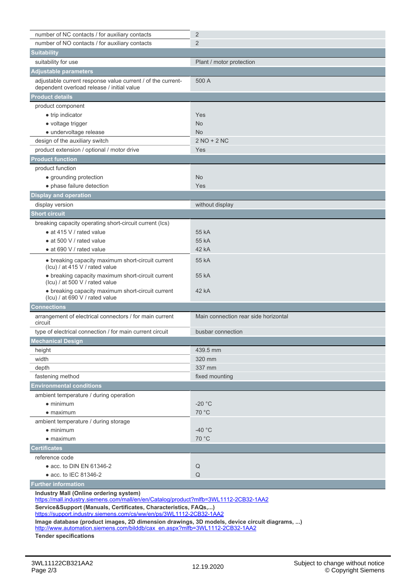| number of NC contacts / for auxiliary contacts                                                                                                                               | $\overline{2}$                       |
|------------------------------------------------------------------------------------------------------------------------------------------------------------------------------|--------------------------------------|
| number of NO contacts / for auxiliary contacts                                                                                                                               | $\overline{2}$                       |
| <b>Suitability</b>                                                                                                                                                           |                                      |
| suitability for use                                                                                                                                                          | Plant / motor protection             |
| <b>Adjustable parameters</b>                                                                                                                                                 |                                      |
| adjustable current response value current / of the current-<br>dependent overload release / initial value                                                                    | 500 A                                |
| <b>Product details</b>                                                                                                                                                       |                                      |
| product component                                                                                                                                                            |                                      |
| • trip indicator                                                                                                                                                             | Yes                                  |
| • voltage trigger                                                                                                                                                            | <b>No</b>                            |
| • undervoltage release                                                                                                                                                       | <b>No</b>                            |
| design of the auxiliary switch                                                                                                                                               | $2 NO + 2 NC$                        |
| product extension / optional / motor drive                                                                                                                                   | Yes                                  |
| <b>Product function</b>                                                                                                                                                      |                                      |
| product function                                                                                                                                                             |                                      |
| • grounding protection                                                                                                                                                       | <b>No</b>                            |
| • phase failure detection                                                                                                                                                    | Yes                                  |
| <b>Display and operation</b>                                                                                                                                                 |                                      |
| display version                                                                                                                                                              | without display                      |
| <b>Short circuit</b>                                                                                                                                                         |                                      |
| breaking capacity operating short-circuit current (Ics)                                                                                                                      |                                      |
| $\bullet$ at 415 V / rated value                                                                                                                                             | 55 kA                                |
| $\bullet$ at 500 V / rated value                                                                                                                                             | 55 kA                                |
| • at 690 V / rated value                                                                                                                                                     | 42 kA                                |
| • breaking capacity maximum short-circuit current<br>(Icu) / at 415 V / rated value                                                                                          | 55 kA                                |
| • breaking capacity maximum short-circuit current<br>(Icu) / at 500 V / rated value                                                                                          | 55 kA                                |
| • breaking capacity maximum short-circuit current<br>(Icu) / at 690 V / rated value                                                                                          | 42 kA                                |
| <b>Connections</b>                                                                                                                                                           |                                      |
| arrangement of electrical connectors / for main current                                                                                                                      | Main connection rear side horizontal |
| circuit<br>type of electrical connection / for main current circuit                                                                                                          | busbar connection                    |
| <b>Mechanical Design</b>                                                                                                                                                     |                                      |
|                                                                                                                                                                              |                                      |
| height<br>width                                                                                                                                                              | 439.5 mm<br>320 mm                   |
| depth                                                                                                                                                                        | 337 mm                               |
| fastening method                                                                                                                                                             | fixed mounting                       |
| <b>Environmental conditions</b>                                                                                                                                              |                                      |
|                                                                                                                                                                              |                                      |
| ambient temperature / during operation<br>$\bullet$ minimum                                                                                                                  | $-20 °C$                             |
| $\bullet$ maximum                                                                                                                                                            | 70 °C                                |
| ambient temperature / during storage                                                                                                                                         |                                      |
| $\bullet$ minimum                                                                                                                                                            | $-40$ °C                             |
| $\bullet$ maximum                                                                                                                                                            | 70 °C                                |
| <b>Certificates</b>                                                                                                                                                          |                                      |
| reference code                                                                                                                                                               |                                      |
|                                                                                                                                                                              | Q                                    |
| $\bullet$ acc. to DIN EN 61346-2<br>• acc. to IEC 81346-2                                                                                                                    | Q                                    |
| <b>Further information</b>                                                                                                                                                   |                                      |
| Industry Mall (Online ordering system)                                                                                                                                       |                                      |
| https://mall.industry.siemens.com/mall/en/en/Catalog/product?mlfb=3WL1112-2CB32-1AA2                                                                                         |                                      |
| Service&Support (Manuals, Certificates, Characteristics, FAQs,)                                                                                                              |                                      |
| https://support.industry.siemens.com/cs/ww/en/ps/3WL1112-2CB32-1AA2                                                                                                          |                                      |
| Image database (product images, 2D dimension drawings, 3D models, device circuit diagrams, )<br>http://www.automation.siemens.com/bilddb/cax_en.aspx?mlfb=3WL1112-2CB32-1AA2 |                                      |
| <b>Tender specifications</b>                                                                                                                                                 |                                      |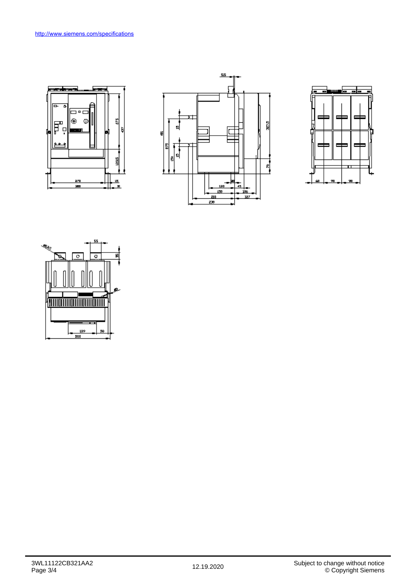